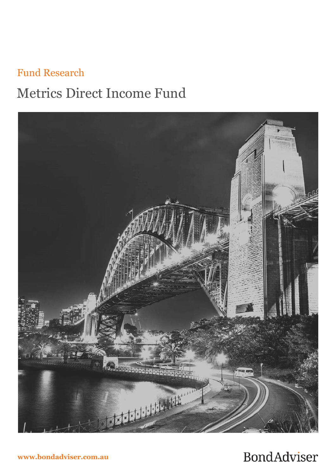# Fund Research Metrics Direct Income Fund



**www.bondadviser.com.au**

## **BondAdviser**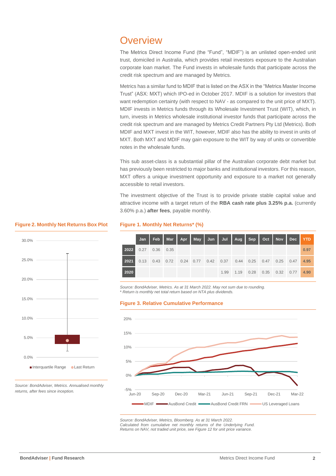## **Overview**

The Metrics Direct Income Fund (the "Fund", "MDIF") is an unlisted open-ended unit trust, domiciled in Australia, which provides retail investors exposure to the Australian corporate loan market. The Fund invests in wholesale funds that participate across the credit risk spectrum and are managed by Metrics.

Metrics has a similar fund to MDIF that is listed on the ASX in the "Metrics Master Income Trust" (ASX: MXT) which IPO-ed in October 2017. MDIF is a solution for investors that want redemption certainty (with respect to NAV - as compared to the unit price of MXT). MDIF invests in Metrics funds through its Wholesale Investment Trust (WIT), which, in turn, invests in Metrics wholesale institutional investor funds that participate across the credit risk spectrum and are managed by Metrics Credit Partners Pty Ltd (Metrics). Both MDIF and MXT invest in the WIT, however, MDIF also has the ability to invest in units of MXT. Both MXT and MDIF may gain exposure to the WIT by way of units or convertible notes in the wholesale funds.

This sub asset-class is a substantial pillar of the Australian corporate debt market but has previously been restricted to major banks and institutional investors. For this reason, MXT offers a unique investment opportunity and exposure to a market not generally accessible to retail investors.

The investment objective of the Trust is to provide private stable capital value and attractive income with a target return of the **RBA cash rate plus 3.25% p.a.** (currently 3.60% p.a.) **after fees**, payable monthly.

**2020** 1.99 1.19 0.28 0.35 0.32 0.77 **4.90**

#### **Figure 2. Monthly Net Returns Box Plot**



|                     |  | Jan   Feb   Mar   Apr   May   Jun   Jul   Aug   Sep   Oct   Nov   Dec <mark>  YTD</mark> |  |  |  |  |      |
|---------------------|--|------------------------------------------------------------------------------------------|--|--|--|--|------|
| 2022 0.27 0.36 0.35 |  |                                                                                          |  |  |  |  | 0.97 |
| 2021                |  | 0.13 0.43 0.72 0.24 0.77 0.42 0.37 0.44 0.25 0.47 0.25 0.47                              |  |  |  |  | 4.95 |

*Source: BondAdviser, Metrics. As at 31 March 2022. May not sum due to rounding.* \* *Return is monthly net total return based on NTA plus dividends.*

#### **Figure 3. Relative Cumulative Performance**

**Figure 1. Monthly Net Returns\* (%)**



*Source: BondAdviser, Metrics, Bloomberg. As at 31 March 2022. Calculated from cumulative net monthly returns of the Underlying Fund. Returns on NAV, not traded unit price, see Figure 12 for unit price variance.*

*Source: BondAdviser, Metrics. Annualised monthly returns, after fees since inception.*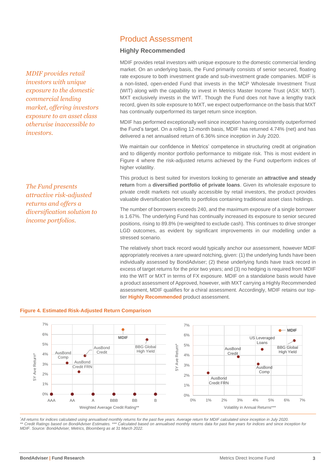*MDIF provides retail investors with unique exposure to the domestic commercial lending market, offering investors exposure to an asset class otherwise inaccessible to investors.*

*The Fund presents attractive risk-adjusted returns and offers a diversification solution to income portfolios.*

### Product Assessment

#### **Highly Recommended**

MDIF provides retail investors with unique exposure to the domestic commercial lending market. On an underlying basis, the Fund primarily consists of senior secured, floating rate exposure to both investment grade and sub-investment grade companies. MDIF is a non-listed, open-ended Fund that invests in the MCP Wholesale Investment Trust (WIT) along with the capability to invest in Metrics Master Income Trust (ASX: MXT). MXT exclusively invests in the WIT. Though the Fund does not have a lengthy track record, given its sole exposure to MXT, we expect outperformance on the basis that MXT has continually outperformed its target return since inception.

MDIF has performed exceptionally well since inception having consistently outperformed the Fund's target. On a rolling 12-month basis, MDIF has returned 4.74% (net) and has delivered a net annualised return of 6.36% since inception in July 2020.

We maintain our confidence in Metrics' competence in structuring credit at origination and to diligently monitor portfolio performance to mitigate risk. This is most evident in Figure 4 where the risk-adjusted returns achieved by the Fund outperform indices of higher volatility.

This product is best suited for investors looking to generate an **attractive and steady return** from a **diversified portfolio of private loans**. Given its wholesale exposure to private credit markets not usually accessible by retail investors, the product provides valuable diversification benefits to portfolios containing traditional asset class holdings.

The number of borrowers exceeds 240, and the maximum exposure of a single borrower is 1.67%. The underlying Fund has continually increased its exposure to senior secured positions, rising to 89.8% (re-weighted to exclude cash). This continues to drive stronger LGD outcomes, as evident by significant improvements in our modelling under a stressed scenario.

The relatively short track record would typically anchor our assessment, however MDIF appropriately receives a rare upward notching, given: (1) the underlying funds have been individually assessed by BondAdviser; (2) these underlying funds have track record in excess of target returns for the prior two years; and (3) no hedging is required from MDIF into the WIT or MXT in terms of FX exposure. MDIF on a standalone basis would have a product assessment of Approved, however, with MXT carrying a Highly Recommended assessment, MDIF qualifies for a chiral assessment. Accordingly, MDIF retains our toptier **Highly Recommended** product assessment.



## **Figure 4. Estimated Risk-Adjusted Return Comparison** *The credit quality of MDIF*

*\*All returns for indices calculated using annualised monthly returns for the past five years. Average return for MDIF calculated since inception in July 2020. \*\* Credit Ratings based on BondAdviser Estimates. \*\*\* Calculated based on annualised monthly returns data for past five years for indices and since inception for MDIF. Source: BondAdviser, Metrics, Bloomberg as at 31 March 2022.*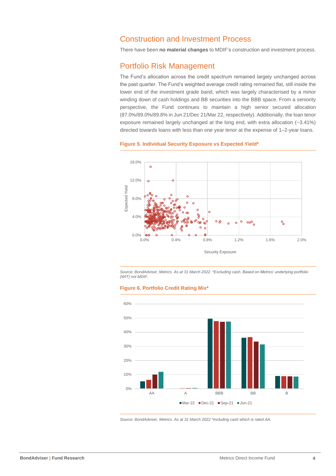## Construction and Investment Process

There have been **no material changes** to MDIF's construction and investment process.

## Portfolio Risk Management

The Fund's allocation across the credit spectrum remained largely unchanged across the past quarter. The Fund's weighted average credit rating remained flat, still inside the lower end of the investment grade band, which was largely characterised by a minor winding down of cash holdings and BB securities into the BBB space. From a seniority perspective, the Fund continues to maintain a high senior secured allocation (87.0%/89.0%/89.8% in Jun 21/Dec 21/Mar 22, respectively). Additionally, the loan tenor exposure remained largely unchanged at the long end, with extra allocation (~3.41%) directed towards loans with less than one year tenor at the expense of 1–2-year loans.



#### **Figure 5. Individual Security Exposure vs Expected Yield\***

*Source: BondAdviser, Metrics. As at 31 March 2022. \*Excluding cash. Based on Metrics' underlying portfolio (WIT) not MDIF.*





*Source: BondAdviser, Metrics. As at 31 March 2022 \*Including cash which is rated AA.*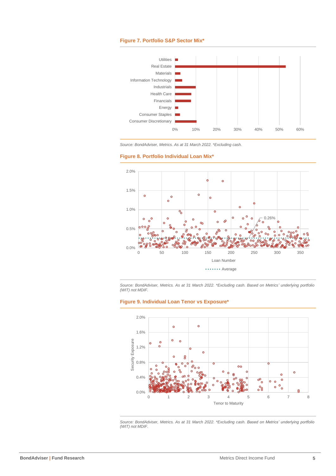#### **Figure 7. Portfolio S&P Sector Mix\***









*Source: BondAdviser, Metrics. As at 31 March 2022. \*Excluding cash. Based on Metrics' underlying portfolio (WIT) not MDIF.*

#### **Figure 9. Individual Loan Tenor vs Exposure\***



*Source: BondAdviser, Metrics. As at 31 March 2022. \*Excluding cash. Based on Metrics' underlying portfolio (WIT) not MDIF.*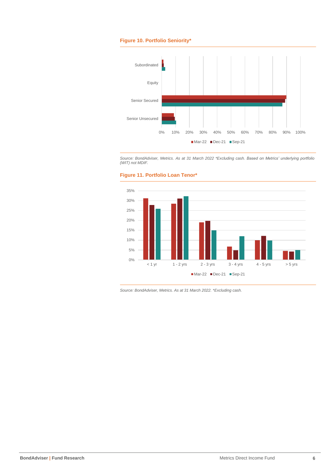#### **Figure 10. Portfolio Seniority\***



*Source: BondAdviser, Metrics. As at 31 March 2022 \*Excluding cash. Based on Metrics' underlying portfolio (WIT) not MDIF.*





*Source: BondAdviser, Metrics. As at 31 March 2022. \*Excluding cash.*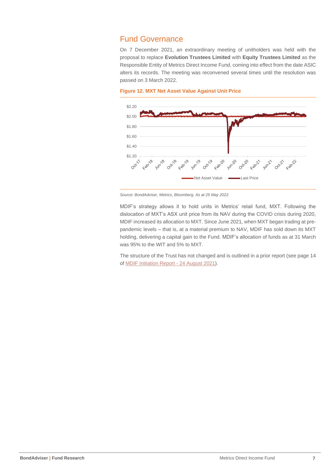## Fund Governance

On 7 December 2021, an extraordinary meeting of unitholders was held with the proposal to replace **Evolution Trustees Limited** with **Equity Trustees Limited** as the Responsible Entity of Metrics Direct Income Fund, coming into effect from the date ASIC alters its records. The meeting was reconvened several times until the resolution was passed on 3 March 2022.

#### **Figure 12. MXT Net Asset Value Against Unit Price**



*Source: BondAdviser, Metrics, Bloomberg. As at 25 May 2022.* 

MDIF's strategy allows it to hold units in Metrics' retail fund, MXT. Following the dislocation of MXT's ASX unit price from its NAV during the COVID crisis during 2020, MDIF increased its allocation to MXT. Since June 2021, when MXT began trading at prepandemic levels – that is, at a material premium to NAV, MDIF has sold down its MXT holding, delivering a capital gain to the Fund. MDIF's allocation of funds as at 31 March was 95% to the WIT and 5% to MXT.

The structure of the Trust has not changed and is outlined in a prior report (see page 14 of [MDIF Initiation Report -](https://app.bondadviser.com.au/uploads/document/file/2179/210824_BA_Report_-_MDIF_vF.pdf) 24 August 2021).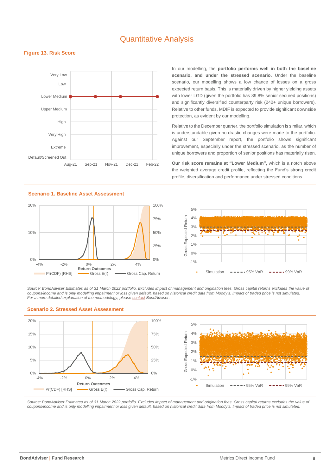## Quantitative Analysis



#### **Figure 13. Risk Score**

In our modelling, the **portfolio performs well in both the baseline scenario, and under the stressed scenario.** Under the baseline scenario, our modelling shows a low chance of losses on a gross expected return basis. This is materially driven by higher yielding assets with lower LGD (given the portfolio has 89.8% senior secured positions) and significantly diversified counterparty risk (240+ unique borrowers). Relative to other funds, MDIF is expected to provide significant downside protection, as evident by our modelling.

Relative to the December quarter, the portfolio simulation is similar, which is understandable given no drastic changes were made to the portfolio. Against our September report, the portfolio shows significant improvement, especially under the stressed scenario, as the number of unique borrowers and proportion of senior positions has materially risen.

**Our risk score remains at "Lower Medium",** which is a notch above the weighted average credit profile, reflecting the Fund's strong credit profile, diversification and performance under stressed conditions.

#### **Scenario 1. Baseline Asset Assessment**



 $-1\%$ 0% 1%  $20/$ 3%  $4%$ 5%  $Simulation \quad - \quad - \quad - \quad 95\% \text{ VaR} \quad - \quad - \quad - \quad 99\% \text{ VaR}$ 

*Source: BondAdviser Estimates as of 31 March 2022 portfolio. Excludes impact of management and origination fees. Gross capital returns excludes the value of coupons/income and is only modelling impairment or loss given default, based on historical credit data from Moody's. Impact of traded price is not simulated. For a more detailed explanation of the methodology, pleas[e contact](mailto:info@bondadviser.com.au?subject=QA%20Methodology%20-%20MOT) BondAdviser*.



**Scenario 2. Stressed Asset Assessment**

Source: BondAdviser Estimates as of 31 March 2022 portfolio. Excludes impact of management and origination fees. Gross capital returns excludes the value of *coupons/income and is only modelling impairment or loss given default, based on historical credit data from Moody's. Impact of traded price is not simulated.*